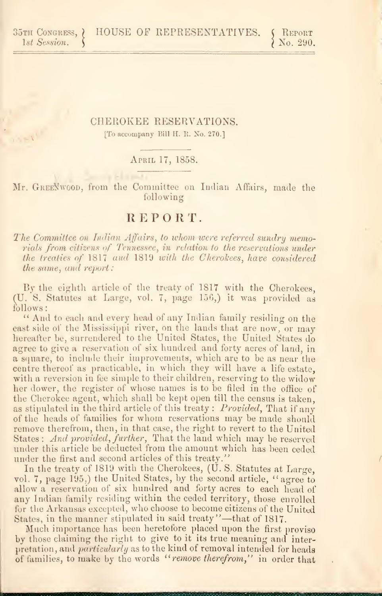$\chi$  No. 290.

# CHEROKEE RESERVATIONS. [To accompany Bill H. R. No. 270.]

### April 17, 1858.

Mr. GREENWOOD, from the Committee on Indian Affairs, made the following

# REPORT.

The Committee on Indian Affairs, to whom were referred sundry memorials from citizens of Tennessee, in relation to the reservations under the treaties of 1817 aud 1819 with the Cherokees, have considered the same, and report

By the eighth article of the treaty of  $1817$  with the Cherokees, (U. S. Statutes at Large, vol. 7, page 156,) it was provided as follows:

" And to each and every head of any Indian family residing on the east side of the Mississippi river, on the lands that are now, or may hereafter be, surrendered to the United States, the United States do agree to give a reservation of six hundred and forty acres of land, in a square, to include their improvements, which are to be as near the centre thereof as practicable, in which they will have a life estate, with a reversion in fee simple to their children, reserving to the widow her dower, the register of whose names is to be filed in the office of the Cherokee agent, which shall be kept open till the census is taken, as stipulated in the third article of this treaty : Provided, That if any of the heads of families for whom reservations may be made should remove therefrom, then, in that case, the right to revert to the United States: And provided, further, That the land which may be reserved under this article be deducted from the amount which has been ceded under the first and second articles of this treaty."

In the treaty of 1819 with the Cherokees, (U.S. Statutes at Large, vol. 7, page 195,) the United States, by the second article, " agree to allow a reservation of six hundred and forty acres to each head of any Indian family residing within the ceded territory, those enrolled for the Arkansas excepted, who choose to become citizens of the United States, in the manner stipulated in said treaty"-that of 1817.

Much importance has been heretofore placed upon the first proviso by those claiming the right to give to it its true meaning and interpretation, and particularly as to the kind of removal intended for heads of families, to make by the words "remove therefrom," in order that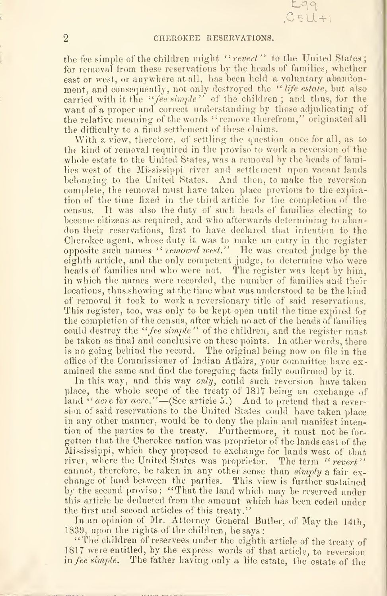### CHEROKEE RESEEVATIONS.

 $CSU+1$ 

the fee simple of the children might "revert" to the United States; for removal from these reservations by the heads of families, whether east or west, or anywhere at all, has been held a voluntary abandonment, and consequently, not only destroyed the "life estate, but also carried with it the "fee simple" of the children; and thus, for the want of a proper and correct understanding by those adjudicating of the relative meaning of the words "remove therefrom," originated all the difficulty to a final settlement of these claims.

With a view, therefore, of settling the question once for all, as to the kind of removal required in the proviso to work a reversion of the whole estate to the United States, was a removal by the heads of families west of the Mississippi river and settlement upon vacant lands belonging to the United States. And then, to make the reversion complete, the removal must have taken place previous to the expiration of the time fixed in the third article for the completion of the census. It was also the duty of such heads of families electing to become citizens as required, and who afterwards determining to abandon their reservations, first to have declared that intention to the Cherokee agent, whose duty it was to make an entry in the register opposite such names " *removed west.*" He was created judge by the eighth article, and the only competent judge, to determine who were heads of families and who were not. The register was kept by him. in which the names were recorded, the number of families and their locations, thus showing at the time what was understood to be the kind of removal it took to work a reversionary title of said reservations. This register, too, was only to be kept open until the time expired for the completion of the census, after which no act of the heads of families could destroy the "*fee simple*" of the children, and the register must be taken as final and conclusive on these points. In other words, there is no going behind the record. The original being now on file in the office of the Commissioner of Indian Affairs, your committee have ex amined the same and find the foregoing facts fully confirmed by it.

In this way, and this way only, could such reversion have taken place, the whole scope of the treaty of 1817 being an exchange of land "acre for acre." – (See article 5.) And to pretend that a reversion of said reservations to the United States could have taken place in any other manner, would be to deny the plain and manifest intention of the parties to the treaty. Furthermore, it must not be for gotten that the Cherokee nation was proprietor of the lands east of the Mississippi, which they proposed to exchange for lands west of that river, where the United States was proprietor. The term "revert" cannot, therefore, be taken in any other sense than simply a fair exchange of land between the parties. This view is further sustained by the second proviso: "That the land which may be reserved under this article be deducted from the amount which has been ceded under the first and second articles of this treaty."

In an opinion of Mr. Attorney General Butler, of May the 14th, 1839, upon the rights of the children, he says :

"The children of reservees under the eighth article of the treaty of 1817 were entitled, by the express words of that article, to reversion in fee simple. The father having only a life estate, the estate of the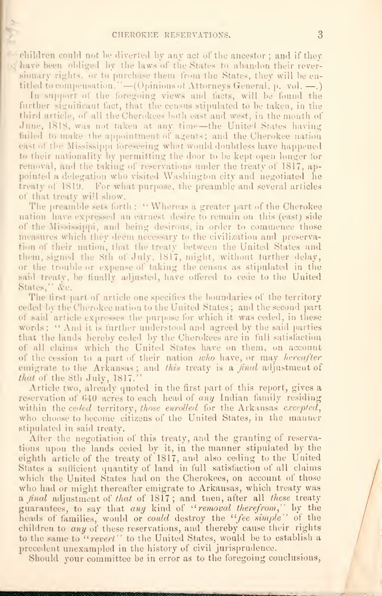cliim could not be diverted by any act of the ancestor; and if they lawe been obliged by the laws of the States to abandon their reversionary rights, or to purchase them from the States, they will be entitled to compensation." —(Opinions of Attorneys General, p. vol. —.) In support of the foregoing views and facts, will be found the

further significant fact, that the census stipulated to be taken, in the third article, of all the Cherokees both east and west, in the month of June, 1818, was not taken at any time—the United States having failed to make the appointment of agents; and the Cherokee nation east of the Mississippi foreseeing what would doubtless have happened to their nationality by permitting the door to be kept open longer for removal, and the taking of reservations under the treaty of 1817, appointed a delegation who visited Washington city and negotiated he treaty ot 1819. For what purpose, the preamble and several articles of that treaty will show.

The preamble sets forth: "Whereas a greater part of the Cherokee nation have expressed an earnest desire to remain on this (east) side of the Mississippi, and being desirous, in order to commence those measures which they deem necessary to the civilization and preservation of their nation, that the treaty between the United States and them, signed the 8th of July, 1817, might, without further delay, or the trouble or expense of taking the census as stipulated in the said treaty, be finally adjusted, have offered to cede to the United States," d'c.

The first part of article one specifies the boundaries of the territory ceded by the Cherokee nation to the United States ; and the second part of said article expresses the purpose for which it was ceded, in these words: " And it is further understood and agreed by the said parties that the lands hereby ceded by the Cherokees are in full satisfaction of all claims which the United States have on them, on account of the cession to a part of their nation who have, or may hereafter emigrate to the Arkansas; and this treaty is a final adjustment of that of the 8th July, 1817."

Article two, already quoted in the first part of this report, gives a reservation of 640 acres to each head of any Indian family residing within the celed territory, those enrolled for the Arkansas excepted, who choose to become citizens of the United States, in the manner stipulated in said treaty.

After the negotiation of this treaty, and the granting of reservations upon the lands ceded by it, in the manner stipulated by the eighth article of the treaty of 1817, and also ceding to the United States a sufficient quantity of land in full satisfaction of all claims which the United States had on the Cherokees, on account of those who had or might thereafter emigrate to Arkansas, which treaty was a *final* adjustment of that of 1817; and then, after all these treaty guarantees, to say that any kind of "removal therefrom," by the heads of families, would or could destroy the "fee simple" of the children to any of these reservations, and thereby cause their rights to the same to "revert" to the United States, would be to establish a precedent unexampled in the history of civil jurisprudence.

Should your committee be in error as to the foregoing conclusions,

lllllllllllllllllllllllllllllllllllllllllllllllllllllllllllllllllllllli^———l nnitn.iiiwi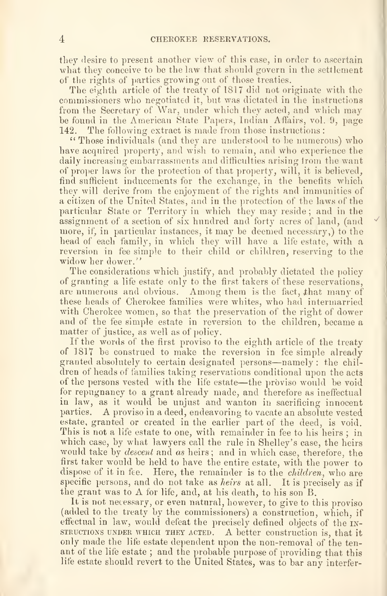they desire to present another view of this case, in order to ascertain what they conceive to be the law that should govern in the settlement of the rights of parties growing out of those treaties.

The eighth article of the treaty of 1817 did not originate with the commissioners who negotiated it, but was dictated in the instructions from the Secretary of War, under which they acted, and which may be found in the American State Papers, Indian Affairs, vol. 9, page<br>142. The following extract is made from those instructions : The following extract is made from those instructions:

" Those individuals (and they are understood to be numerous) who have acquired property, and wish to remain, and who experience the daily increasing embarrassments and difficulties arising from the want of proper laws for the protection of that property, will, it is believed, find sufficient inducements for the exchange, in the benefits which they will derive from the enjoyment of the rights and immunities of a citizen of the United States, and in the protection of the laws of the particular State or Territory in which they may reside ; and in the assignment of a section of six hundred and forty acres of land, (and more, if, in particular instances, it may be deemed necessary,) to the head of each family, in which they will have a life estate, with a reversion in fee simple to their child or children, reserving to the widow her dower."

The considerations which justify, and probably dictated the policy of granting a life estate only to the first takers of these reservations, are numerous and obvious. Among them is the fact, that many of these heads of Cherokee families were whites, who had intermarried with Cherokee women, so that the preservation of the right of dower and of the fee simple estate in reversion to the children, became a matter of justice, as well as of policy.

If the words of the first proviso to the eighth article of the treaty of 1817 be construed to make the reversion in fee simple already granted absolutely to certain designated persons—namely : the children of heads of families taking reservations conditional upon the acts of the persons vested with the life estate—the proviso would be void for repugnancy to a grant already made, and therefore as ineffectual in law, as it would be unjust and wanton in sacrificing innocent parties. A proviso in <sup>a</sup> deed, endeavoring to vacate an absolute vested estate, granted or created in the earlier part of the deed, is void. This is not a life estate to one, with remainder in fee to his heirs ; in which case, by what lawyers call the rule in Shelley's case, the heirs would take by *descent* and as heirs; and in which case, therefore, the first taker would be held to have the entire estate, with the power to dispose of it in fee. Here, the remainder is to the *children*, who are specific persons, and do not take as heirs at all. It is precisely as if the grant was to A for life, and, at his death, to his son B.

It is not necessary, or even natural, however, to give to this proviso (added to the treaty by the commissioners) a construction, which, if effectual in law, would defeat the precisely defined objects of the instructions UNDER WHICH THEY ACTED. A better Construction is, that it only made the life estate dependent upon the non-removal of the ten ant of the life estate ; and the probable purpose of providing that this life estate should revert to the United States, was to bar any interfer-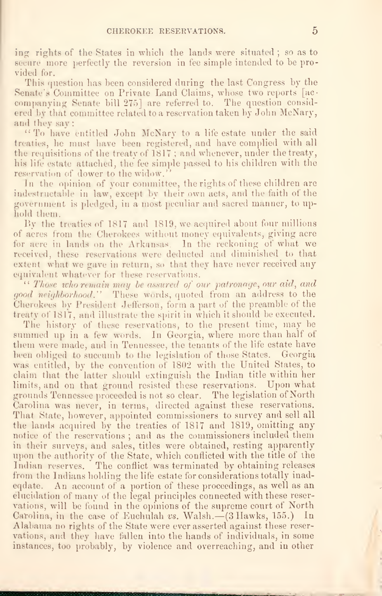ing: rights of the States in which the lands were situated ; so as to the s secure more perfectly the reversion in • fee simple intended to be pro-••IT vided for.

This question has been considered during the last Congress by the Senate's Committee on Private Land Claims, whose two reports [accompanying Senate bill 275] are referred to. The question considered by that committee related to a reservation taken by John McNary, and they say:

"To liave entitled John McNary to <sup>a</sup> life estate under the said treaties, he must have been registered, and have complied with all the requisitions of the treaty of  $1817$ ; and whenever, under the treaty, his life estate attached, the fee simple passed to his children with the reservation of dower to the widow.'

In the opinion of your committee, the rights of these children are indestructable in law, except by their own acts, and the faith of the government is pledged, in a most peculiar and sacred manner, to uphold them.

By the treaties of 1817 and 1819, we acquired about four millions of acres from the Cherokees without money equivalents, giving acre for acre in lands on the Arkansas. In the reckoning of what we received, these reservations were deducted and diminished to that extent what we gave in return, so that they have never received any equivalent whatever for these reservations.

 $\lq\lq$  Those who remain may be assured of our patronage, our aid, and good neighborhood." These words, quoted from an address to the Cherokees by President Jefferson, form a part of the preamble of the treaty of 1817, and illustrate the spirit in which itshould be executed.

The history of these reservations, to the present time, may be summed up in a few words. In Georgia, where more than half of them were made, and in Tennessee, the tenants of the life estate have been obliged to succumb to the legislation of those States. Georgia was entitled, by the convention of 1802 with the United States, to claim that the latter should extinguish the Indian title within her limits, and on that ground resisted these reservations. Upon what grounds Tennessee proceeded is not so clear. The legislation of North Carolina was never, in terms, directed against these reservations. That State, however, appointed commissioners to survey and sell all the lands acquired by the treaties of 1817 and 1819, omitting any notice of the reservations ; and as the commissioners included them in their surveys, and sales, titles were obtained, resting apparently upon the authority of the State, which conflicted with the title of the Indian reserves. The conflict was terminated by obtaining releases from the Indians holding the life estate for considerations totally inadeqdate. An account of a portion of these proceedings, as well as an elucidation of many of the legal principles connected with these reser vations, will be found in the opinions of the supreme court of North Carolina, in the case of Euchulah vs. Walsh.—(3 Hawks, 155.) In Alabama no rights of the State were ever asserted against these reser vations, and they have fallen into the hands of individuals, in some instances, too probably, by violence and overreaching, and in other

www.communistan.com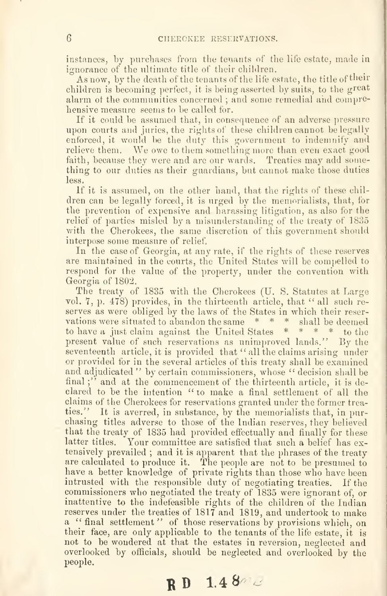instances, by purchases from the tenants of the life estate, made in ignorance of the ultimate title of their children.

As now, by the death of the tenants of the life estate, the title of their children is becoming perfect, it is being asserted by suits, to the great alarm of the communities concerned ; and some remedial and comprehensive measure seems to be called for.

If it could be assumed that, in consequence of an adverse pressure upon courts and juries, the rights of these children cannot be legally enforced, it would be the duty this government to indemnify and relieve them. We owe to them something more than even exact good faith, because they were and are our wards. Treaties may add something to our duties as their guardians, but cannot make those duties less.

If it is assumed, on the other hand, that the rights of these children can be legally forced, it is urged by the memorialists, that, for the prevention of expensive and harassing litigation, as also for the relief of parties misled by a misunderstanding of the treaty of 1835 with the Cherokees, the same discretion of this government should interpose some measure of relief.

In the case of Georgia, at any rate, if the rights of these reserves are maintained in the courts, the United States will be compelled to respond for the value of the property, under the convention with Georgia of 1802.

The treaty of 1835 with the Cherokees (U. S. Statutes at Large vol. 7, p. 478) provides, in the thirteenth article, that " all such reserves as were obliged by the laws of the States in which their reser vations were situated to abandon the same \* \* \* shall be deemed to have a just claim against the United States \* \* \* \* to the present value of such reservations as unimproved lands." By the seventeenth article, it is provided that "all the claims arising under or provided for in the several articles of this treaty shall be examined and adjudicated" by certain commissioners, whose " decision shall be final ;" and at the commencement of the thirteenth article, it is declared to be the intention "to make a final settlement of all the claims of the Cherokees for reservations granted under the former trea ties." It is averred, in substance, by the memorialists that, in purchasing titles adverse to those of the Indian reserves, they believed that the treaty of 1835 had provided effectually and finally for these latter titles. Your committee are satisfied that such a belief has extensively prevailed ; and it is apparent that the phrases of the treaty are calculated to produce it. The people are not to be presumed to have a better knowledge of private rights than those who have been intrusted with the responsible duty of negotiating treaties. If the commissioners who negotiated the treaty of 1835 were ignorant of, or inattentive to the indefeasible rights of the children of the Indian reserves under the treaties of 1817 and 1819, and undertook to make a "final settlement" of those reservations by provisions which, on their face, are ouly applicable to the tenants of the life estate, it is not to be wondered at that the estates in reversion, neglected and overlooked by officials, should be neglected and overlooked by the people.

 $RD$  1.48 $n$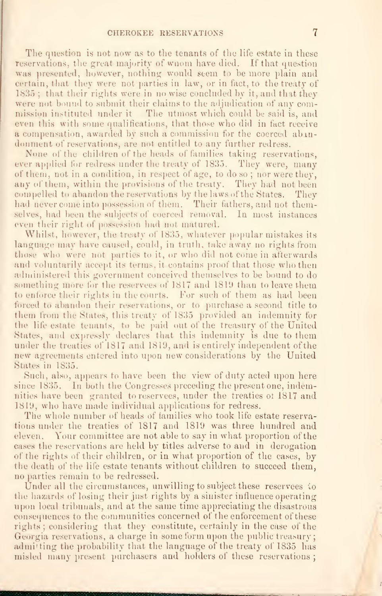The question is not now as to the tenants of the life estate in these reservations, the great majority of wnom have died. If that question was presented, however, nothing would seem to be more plain and certain, that they were not parties in law, or in fact, to the treaty of 1835 ; that their rights were in no wise concluded by it, and that they were not bound to submit their claims to the adjudication of any commission instituted under it The utmost which could be said is, and even this with some qualifications, that those who did in fact receive a compensation, awarded by such a commission for the coerced abindonment of reservations, are not entitled to any further redress.

None of the children of the heads of families taking reservations, ever applied for redress under the treaty of 1835. They were, many of them, not in a condition, in respect of age, to do so ; nor were they, any of them, within the provisions of the treaty. They had not been compelled to abandon the reservations by the laws of the States. They had never come into possession of them. Their fathers, and not themselves, had been the subjects of coerced removal. In most instances even their right of possession had not matured.

Whilst, however, the treaty of 1835, whatever popular mistakes its language may have caused, could, in truth, take away no rights from those who were not parties to it, or who did not come in afterwards and voluntarily accept its terms, it contains proof that those who then administered this government conceived themselves to be bound to do something more for the reservees of 1817 and 1819 than to leave them to enforce their rights in the courts. For such of them as had been forced to abandon their reservations, or to purchase a second title to them from the States, this treaty of 1835 provided an indemnity for the life estate tenants, to be paid out of the treasury of the United States, and expressly declares that this indemnity is due to them under the treaties of 1817 and 1819, and is entirely independent of the new agreements entered into upon new considerations by the United States in 1835.

Such, also, appears to have been the view of duty acted upon here since 1835. In both the Congresses preceding the present one, indemnities have been granted to reservees, under the treaties ot 1817 and 1819, who liave made individual applications for redress.

The whole number of heads of families who took life estate reservations under the treaties of 1817 and 1819 was three hundred and eleven. Your committee are not able to say in wliat proportion of the cases the reservations are held by titles adverse to and in derogation of the rights of their children, or in what proportion of the cases, by the death of the life estate tenants without children to succeed them, no parties remain to be redressed.

Under all the circumstances, unwilling to subject these reservees to the hazards of losing their just rights by a sinister influence operating upon local tribunals, and at the same time appreciating the disastrous consequences to the communities concerned of the enforcement of these rights ; considering that they constitute, certainly in the case of the Georgia reservations, a charge in some form upon the public treasury; admitting the probability that the language of the treaty of 1835 has misled many present purchasers and holders of these reservations ;

iimii miiliikka ka